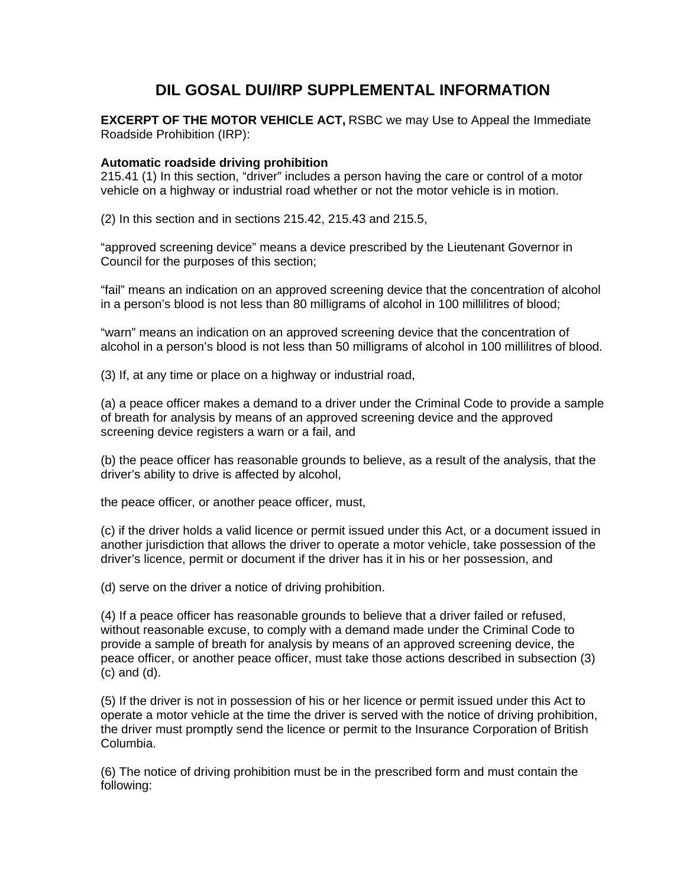# **DIL GOSAL DUI/IRP SUPPLEMENTAL INFORMATION**

**EXCERPT OF THE MOTOR VEHICLE ACT, RSBC we may Use to Appeal the Immediate** Roadside Prohibition (IRP):

## **Automatic roadside driving prohibition**

215.41 (1) In this section, "driver" includes a person having the care or control of a motor vehicle on a highway or industrial road whether or not the motor vehicle is in motion.

(2) In this section and in sections 215.42, 215.43 and 215.5,

"approved screening device" means a device prescribed by the Lieutenant Governor in Council for the purposes of this section;

"fail" means an indication on an approved screening device that the concentration of alcohol in a person's blood is not less than 80 milligrams of alcohol in 100 millilitres of blood;

"warn" means an indication on an approved screening device that the concentration of alcohol in a person's blood is not less than 50 milligrams of alcohol in 100 millilitres of blood.

(3) If, at any time or place on a highway or industrial road,

(a) a peace officer makes a demand to a driver under the Criminal Code to provide a sample of breath for analysis by means of an approved screening device and the approved screening device registers a warn or a fail, and

(b) the peace officer has reasonable grounds to believe, as a result of the analysis, that the driver's ability to drive is affected by alcohol,

the peace officer, or another peace officer, must,

(c) if the driver holds a valid licence or permit issued under this Act, or a document issued in another jurisdiction that allows the driver to operate a motor vehicle, take possession of the driver's licence, permit or document if the driver has it in his or her possession, and

(d) serve on the driver a notice of driving prohibition.

(4) If a peace officer has reasonable grounds to believe that a driver failed or refused, without reasonable excuse, to comply with a demand made under the Criminal Code to provide a sample of breath for analysis by means of an approved screening device, the peace officer, or another peace officer, must take those actions described in subsection (3) (c) and (d).

(5) If the driver is not in possession of his or her licence or permit issued under this Act to operate a motor vehicle at the time the driver is served with the notice of driving prohibition, the driver must promptly send the licence or permit to the Insurance Corporation of British Columbia.

(6) The notice of driving prohibition must be in the prescribed form and must contain the following: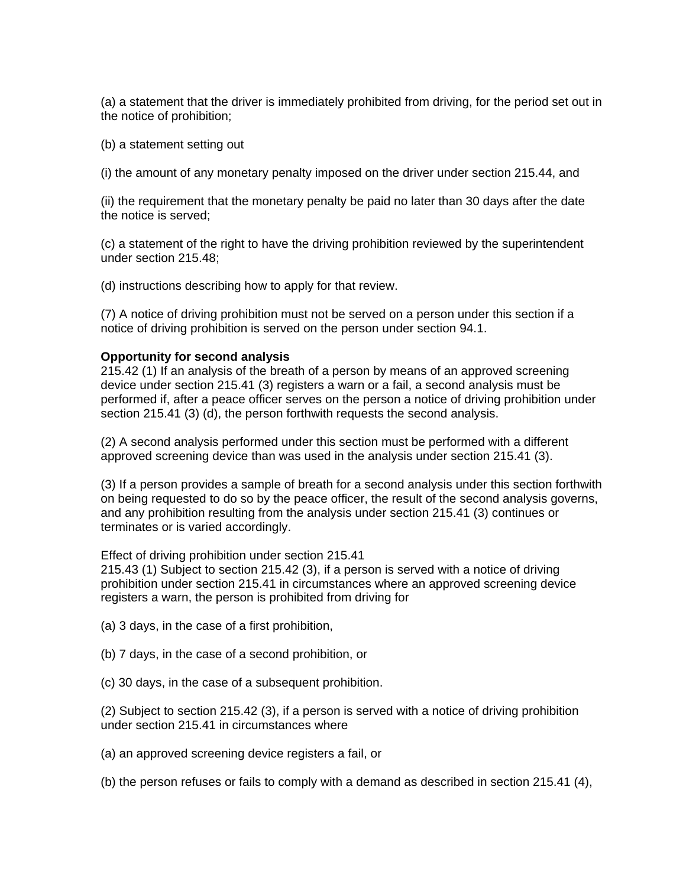(a) a statement that the driver is immediately prohibited from driving, for the period set out in the notice of prohibition;

(b) a statement setting out

(i) the amount of any monetary penalty imposed on the driver under section 215.44, and

(ii) the requirement that the monetary penalty be paid no later than 30 days after the date the notice is served;

(c) a statement of the right to have the driving prohibition reviewed by the superintendent under section 215.48;

(d) instructions describing how to apply for that review.

(7) A notice of driving prohibition must not be served on a person under this section if a notice of driving prohibition is served on the person under section 94.1.

#### **Opportunity for second analysis**

215.42 (1) If an analysis of the breath of a person by means of an approved screening device under section 215.41 (3) registers a warn or a fail, a second analysis must be performed if, after a peace officer serves on the person a notice of driving prohibition under section 215.41 (3) (d), the person forthwith requests the second analysis.

(2) A second analysis performed under this section must be performed with a different approved screening device than was used in the analysis under section 215.41 (3).

(3) If a person provides a sample of breath for a second analysis under this section forthwith on being requested to do so by the peace officer, the result of the second analysis governs, and any prohibition resulting from the analysis under section 215.41 (3) continues or terminates or is varied accordingly.

#### Effect of driving prohibition under section 215.41

215.43 (1) Subject to section 215.42 (3), if a person is served with a notice of driving prohibition under section 215.41 in circumstances where an approved screening device registers a warn, the person is prohibited from driving for

(a) 3 days, in the case of a first prohibition,

- (b) 7 days, in the case of a second prohibition, or
- (c) 30 days, in the case of a subsequent prohibition.

(2) Subject to section 215.42 (3), if a person is served with a notice of driving prohibition under section 215.41 in circumstances where

- (a) an approved screening device registers a fail, or
- (b) the person refuses or fails to comply with a demand as described in section 215.41 (4),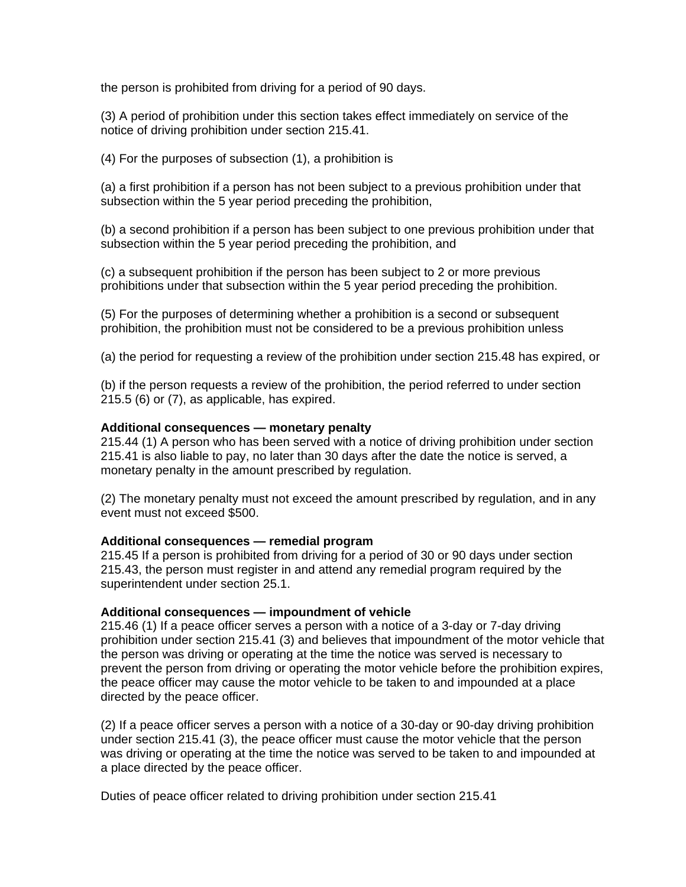the person is prohibited from driving for a period of 90 days.

(3) A period of prohibition under this section takes effect immediately on service of the notice of driving prohibition under section 215.41.

(4) For the purposes of subsection (1), a prohibition is

(a) a first prohibition if a person has not been subject to a previous prohibition under that subsection within the 5 year period preceding the prohibition,

(b) a second prohibition if a person has been subject to one previous prohibition under that subsection within the 5 year period preceding the prohibition, and

(c) a subsequent prohibition if the person has been subject to 2 or more previous prohibitions under that subsection within the 5 year period preceding the prohibition.

(5) For the purposes of determining whether a prohibition is a second or subsequent prohibition, the prohibition must not be considered to be a previous prohibition unless

(a) the period for requesting a review of the prohibition under section 215.48 has expired, or

(b) if the person requests a review of the prohibition, the period referred to under section 215.5 (6) or (7), as applicable, has expired.

### **Additional consequences — monetary penalty**

215.44 (1) A person who has been served with a notice of driving prohibition under section 215.41 is also liable to pay, no later than 30 days after the date the notice is served, a monetary penalty in the amount prescribed by regulation.

(2) The monetary penalty must not exceed the amount prescribed by regulation, and in any event must not exceed \$500.

### **Additional consequences — remedial program**

215.45 If a person is prohibited from driving for a period of 30 or 90 days under section 215.43, the person must register in and attend any remedial program required by the superintendent under section 25.1.

### **Additional consequences — impoundment of vehicle**

215.46 (1) If a peace officer serves a person with a notice of a 3-day or 7-day driving prohibition under section 215.41 (3) and believes that impoundment of the motor vehicle that the person was driving or operating at the time the notice was served is necessary to prevent the person from driving or operating the motor vehicle before the prohibition expires, the peace officer may cause the motor vehicle to be taken to and impounded at a place directed by the peace officer.

(2) If a peace officer serves a person with a notice of a 30-day or 90-day driving prohibition under section 215.41 (3), the peace officer must cause the motor vehicle that the person was driving or operating at the time the notice was served to be taken to and impounded at a place directed by the peace officer.

Duties of peace officer related to driving prohibition under section 215.41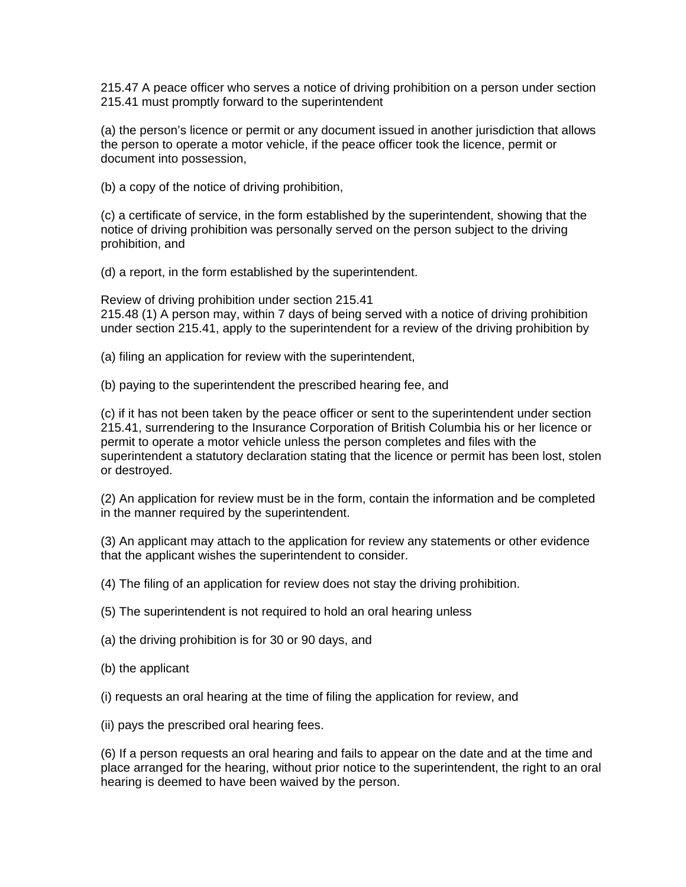215.47 A peace officer who serves a notice of driving prohibition on a person under section 215.41 must promptly forward to the superintendent

(a) the person's licence or permit or any document issued in another jurisdiction that allows the person to operate a motor vehicle, if the peace officer took the licence, permit or document into possession,

(b) a copy of the notice of driving prohibition,

(c) a certificate of service, in the form established by the superintendent, showing that the notice of driving prohibition was personally served on the person subject to the driving prohibition, and

(d) a report, in the form established by the superintendent.

Review of driving prohibition under section 215.41 215.48 (1) A person may, within 7 days of being served with a notice of driving prohibition under section 215.41, apply to the superintendent for a review of the driving prohibition by

(a) filing an application for review with the superintendent,

(b) paying to the superintendent the prescribed hearing fee, and

(c) if it has not been taken by the peace officer or sent to the superintendent under section 215.41, surrendering to the Insurance Corporation of British Columbia his or her licence or permit to operate a motor vehicle unless the person completes and files with the superintendent a statutory declaration stating that the licence or permit has been lost, stolen or destroyed.

(2) An application for review must be in the form, contain the information and be completed in the manner required by the superintendent.

(3) An applicant may attach to the application for review any statements or other evidence that the applicant wishes the superintendent to consider.

(4) The filing of an application for review does not stay the driving prohibition.

(5) The superintendent is not required to hold an oral hearing unless

(a) the driving prohibition is for 30 or 90 days, and

(b) the applicant

(i) requests an oral hearing at the time of filing the application for review, and

(ii) pays the prescribed oral hearing fees.

(6) If a person requests an oral hearing and fails to appear on the date and at the time and place arranged for the hearing, without prior notice to the superintendent, the right to an oral hearing is deemed to have been waived by the person.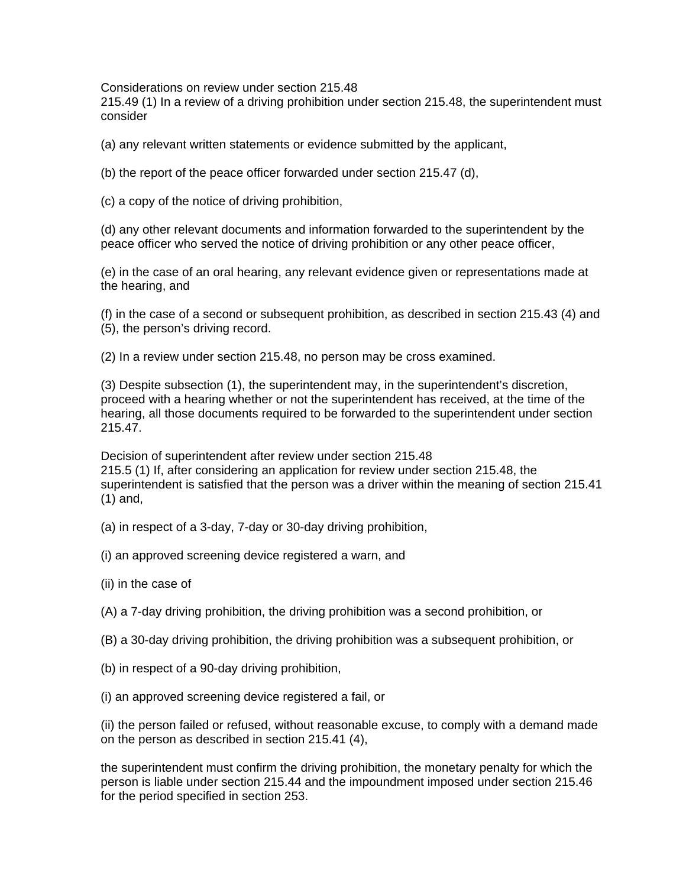Considerations on review under section 215.48

215.49 (1) In a review of a driving prohibition under section 215.48, the superintendent must consider

(a) any relevant written statements or evidence submitted by the applicant,

(b) the report of the peace officer forwarded under section 215.47 (d),

(c) a copy of the notice of driving prohibition,

(d) any other relevant documents and information forwarded to the superintendent by the peace officer who served the notice of driving prohibition or any other peace officer,

(e) in the case of an oral hearing, any relevant evidence given or representations made at the hearing, and

(f) in the case of a second or subsequent prohibition, as described in section 215.43 (4) and (5), the person's driving record.

(2) In a review under section 215.48, no person may be cross examined.

(3) Despite subsection (1), the superintendent may, in the superintendent's discretion, proceed with a hearing whether or not the superintendent has received, at the time of the hearing, all those documents required to be forwarded to the superintendent under section 215.47.

Decision of superintendent after review under section 215.48 215.5 (1) If, after considering an application for review under section 215.48, the superintendent is satisfied that the person was a driver within the meaning of section 215.41 (1) and,

(a) in respect of a 3-day, 7-day or 30-day driving prohibition,

- (i) an approved screening device registered a warn, and
- (ii) in the case of

(A) a 7-day driving prohibition, the driving prohibition was a second prohibition, or

- (B) a 30-day driving prohibition, the driving prohibition was a subsequent prohibition, or
- (b) in respect of a 90-day driving prohibition,
- (i) an approved screening device registered a fail, or

(ii) the person failed or refused, without reasonable excuse, to comply with a demand made on the person as described in section 215.41 (4),

the superintendent must confirm the driving prohibition, the monetary penalty for which the person is liable under section 215.44 and the impoundment imposed under section 215.46 for the period specified in section 253.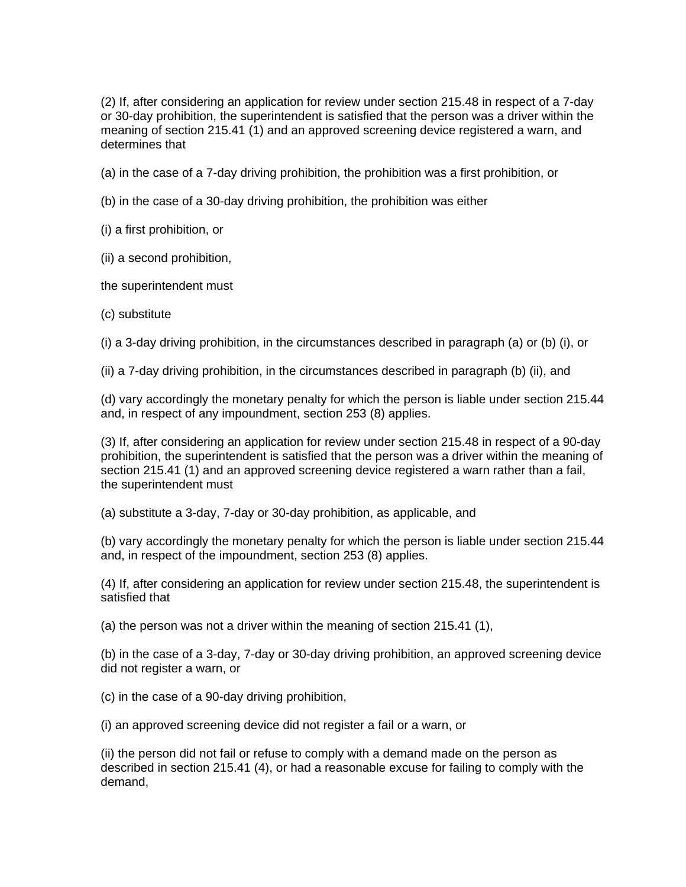(2) If, after considering an application for review under section 215.48 in respect of a 7-day or 30-day prohibition, the superintendent is satisfied that the person was a driver within the meaning of section 215.41 (1) and an approved screening device registered a warn, and determines that

(a) in the case of a 7-day driving prohibition, the prohibition was a first prohibition, or

(b) in the case of a 30-day driving prohibition, the prohibition was either

(i) a first prohibition, or

(ii) a second prohibition,

the superintendent must

(c) substitute

(i) a 3-day driving prohibition, in the circumstances described in paragraph (a) or (b) (i), or

(ii) a 7-day driving prohibition, in the circumstances described in paragraph (b) (ii), and

(d) vary accordingly the monetary penalty for which the person is liable under section 215.44 and, in respect of any impoundment, section 253 (8) applies.

(3) If, after considering an application for review under section 215.48 in respect of a 90-day prohibition, the superintendent is satisfied that the person was a driver within the meaning of section 215.41 (1) and an approved screening device registered a warn rather than a fail, the superintendent must

(a) substitute a 3-day, 7-day or 30-day prohibition, as applicable, and

(b) vary accordingly the monetary penalty for which the person is liable under section 215.44 and, in respect of the impoundment, section 253 (8) applies.

(4) If, after considering an application for review under section 215.48, the superintendent is satisfied that

(a) the person was not a driver within the meaning of section 215.41 (1),

(b) in the case of a 3-day, 7-day or 30-day driving prohibition, an approved screening device did not register a warn, or

(c) in the case of a 90-day driving prohibition,

(i) an approved screening device did not register a fail or a warn, or

(ii) the person did not fail or refuse to comply with a demand made on the person as described in section 215.41 (4), or had a reasonable excuse for failing to comply with the demand,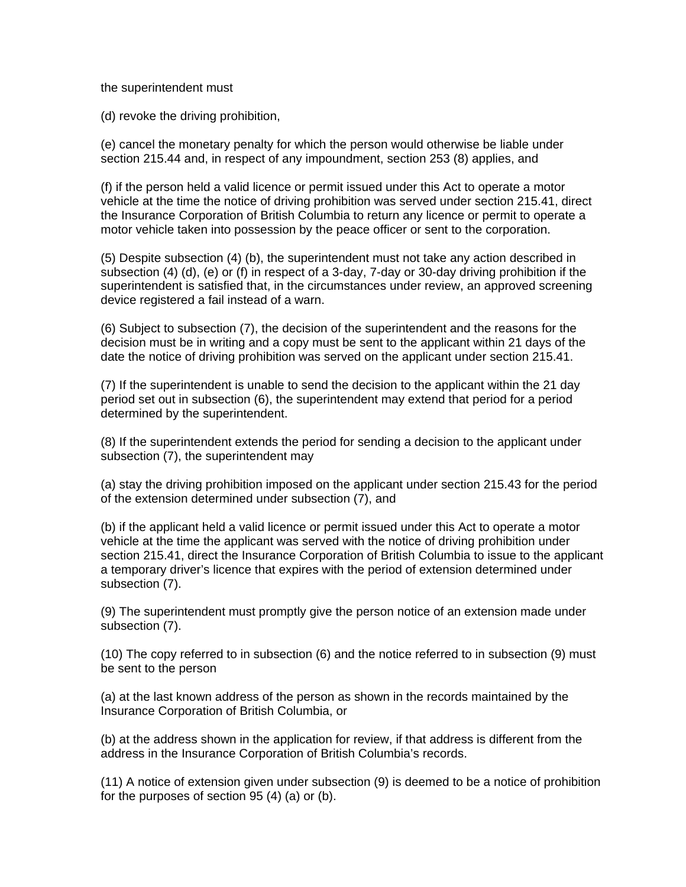the superintendent must

(d) revoke the driving prohibition,

(e) cancel the monetary penalty for which the person would otherwise be liable under section 215.44 and, in respect of any impoundment, section 253 (8) applies, and

(f) if the person held a valid licence or permit issued under this Act to operate a motor vehicle at the time the notice of driving prohibition was served under section 215.41, direct the Insurance Corporation of British Columbia to return any licence or permit to operate a motor vehicle taken into possession by the peace officer or sent to the corporation.

(5) Despite subsection (4) (b), the superintendent must not take any action described in subsection (4) (d), (e) or (f) in respect of a 3-day, 7-day or 30-day driving prohibition if the superintendent is satisfied that, in the circumstances under review, an approved screening device registered a fail instead of a warn.

(6) Subject to subsection (7), the decision of the superintendent and the reasons for the decision must be in writing and a copy must be sent to the applicant within 21 days of the date the notice of driving prohibition was served on the applicant under section 215.41.

(7) If the superintendent is unable to send the decision to the applicant within the 21 day period set out in subsection (6), the superintendent may extend that period for a period determined by the superintendent.

(8) If the superintendent extends the period for sending a decision to the applicant under subsection (7), the superintendent may

(a) stay the driving prohibition imposed on the applicant under section 215.43 for the period of the extension determined under subsection (7), and

(b) if the applicant held a valid licence or permit issued under this Act to operate a motor vehicle at the time the applicant was served with the notice of driving prohibition under section 215.41, direct the Insurance Corporation of British Columbia to issue to the applicant a temporary driver's licence that expires with the period of extension determined under subsection (7).

(9) The superintendent must promptly give the person notice of an extension made under subsection (7).

(10) The copy referred to in subsection (6) and the notice referred to in subsection (9) must be sent to the person

(a) at the last known address of the person as shown in the records maintained by the Insurance Corporation of British Columbia, or

(b) at the address shown in the application for review, if that address is different from the address in the Insurance Corporation of British Columbia's records.

(11) A notice of extension given under subsection (9) is deemed to be a notice of prohibition for the purposes of section 95 (4) (a) or (b).